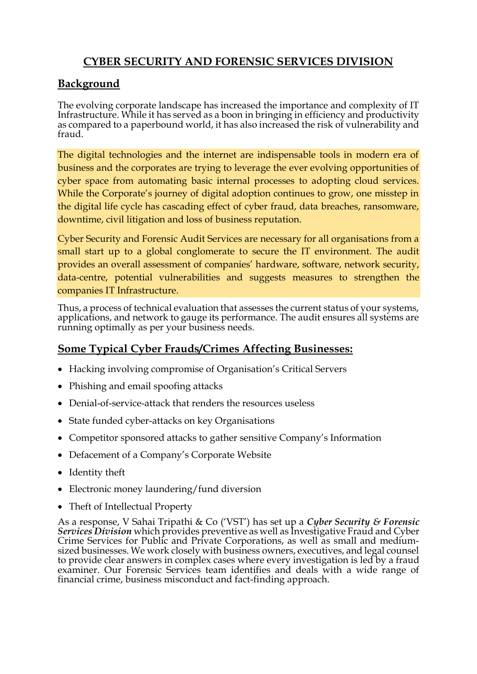# **CYBER SECURITY AND FORENSIC SERVICES DIVISION**

# **Background**

The evolving corporate landscape has increased the importance and complexity of IT Infrastructure. While it has served as a boon in bringing in efficiency and productivity as compared to a paperbound world, it has also increased the risk of vulnerability and fraud.

The digital technologies and the internet are indispensable tools in modern era of business and the corporates are trying to leverage the ever evolving opportunities of cyber space from automating basic internal processes to adopting cloud services. While the Corporate's journey of digital adoption continues to grow, one misstep in the digital life cycle has cascading effect of cyber fraud, data breaches, ransomware, downtime, civil litigation and loss of business reputation.

Cyber Security and Forensic Audit Services are necessary for all organisations from a small start up to a global conglomerate to secure the IT environment. The audit provides an overall assessment of companies' hardware, software, network security, data-centre, potential vulnerabilities and suggests measures to strengthen the companies IT Infrastructure.

Thus, a process of technical evaluation that assesses the current status of your systems, applications, and network to gauge its performance. The audit ensures all systems are running optimally as per your business needs.

# **Some Typical Cyber Frauds/Crimes Affecting Businesses:**

- Hacking involving compromise of Organisation's Critical Servers
- Phishing and email spoofing attacks
- Denial-of-service-attack that renders the resources useless
- State funded cyber-attacks on key Organisations
- Competitor sponsored attacks to gather sensitive Company's Information
- Defacement of a Company's Corporate Website
- Identity theft
- Electronic money laundering/fund diversion
- Theft of Intellectual Property

As a response, V Sahai Tripathi & Co ('VST') has set up a *Cyber Security & Forensic Services Division* which provides preventive as well as Investigative Fraud and Cyber Crime Services for Public and Private Corporations, as well as small and mediumsized businesses. We work closely with business owners, executives, and legal counsel to provide clear answers in complex cases where every investigation is led by a fraud examiner. Our Forensic Services team identifies and deals with a wide range of financial crime, business misconduct and fact-finding approach.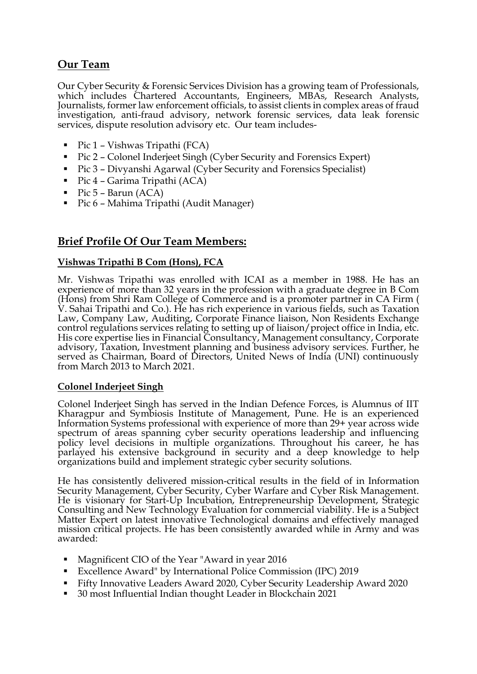## **Our Team**

Our Cyber Security & Forensic Services Division has a growing team of Professionals, which includes Chartered Accountants, Engineers, MBAs, Research Analysts, Journalists, former law enforcement officials, to assist clients in complex areas of fraud investigation, anti-fraud advisory, network forensic services, data leak forensic services, dispute resolution advisory etc. Our team includes-

- $\blacksquare$  Pic 1 Vishwas Tripathi (FCA)
- Pic 2 Colonel Inderjeet Singh (Cyber Security and Forensics Expert)
- Pic 3 Divyanshi Agarwal (Cyber Security and Forensics Specialist)
- $\blacksquare$  Pic 4 Garima Tripathi (ACA)
- $\blacksquare$  Pic 5 Barun (ACA)
- Pic 6 Mahima Tripathi (Audit Manager)

## **Brief Profile Of Our Team Members:**

#### **Vishwas Tripathi B Com (Hons), FCA**

Mr. Vishwas Tripathi was enrolled with ICAI as a member in 1988. He has an experience of more than 32 years in the profession with a graduate degree in B Com (Hons) from Shri Ram College of Commerce and is a promoter partner in CA Firm ( V. Sahai Tripathi and Co.). He has rich experience in various fields, such as Taxation Law, Company Law, Auditing, Corporate Finance liaison, Non Residents Exchange control regulations services relating to setting up of liaison/project office in India, etc. His core expertise lies in Financial Consultancy, Management consultancy, Corporate advisory, Taxation, Investment planning and business advisory services. Further, he served as Chairman, Board of Directors, United News of India (UNI) continuously from March 2013 to March 2021.

#### **Colonel Inderjeet Singh**

Colonel Inderjeet Singh has served in the Indian Defence Forces, is Alumnus of IIT Kharagpur and Symbiosis Institute of Management, Pune. He is an experienced Information Systems professional with experience of more than 29+ year across wide spectrum of areas spanning cyber security operations leadership and influencing policy level decisions in multiple organizations. Throughout his career, he has parlayed his extensive background in security and a deep knowledge to help organizations build and implement strategic cyber security solutions.

He has consistently delivered mission-critical results in the field of in Information Security Management, Cyber Security, Cyber Warfare and Cyber Risk Management. He is visionary for Start-Up Incubation, Entrepreneurship Development, Strategic Consulting and New Technology Evaluation for commercial viability. He is a Subject Matter Expert on latest innovative Technological domains and effectively managed mission critical projects. He has been consistently awarded while in Army and was awarded:

- Magnificent CIO of the Year "Award in year 2016
- Excellence Award" by International Police Commission (IPC) 2019
- Fifty Innovative Leaders Award 2020, Cyber Security Leadership Award 2020
- 30 most Influential Indian thought Leader in Blockchain 2021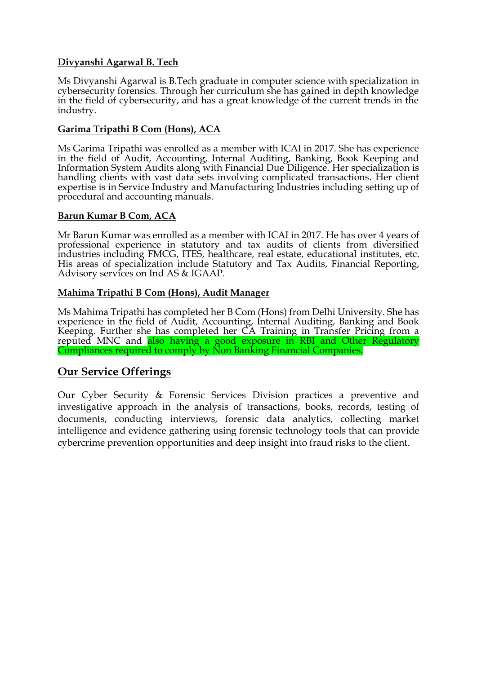#### **Divyanshi Agarwal B. Tech**

Ms Divyanshi Agarwal is B.Tech graduate in computer science with specialization in cybersecurity forensics. Through her curriculum she has gained in depth knowledge in the field of cybersecurity, and has a great knowledge of the current trends in the industry.

#### **Garima Tripathi B Com (Hons), ACA**

Ms Garima Tripathi was enrolled as a member with ICAI in 2017. She has experience in the field of Audit, Accounting, Internal Auditing, Banking, Book Keeping and Information System Audits along with Financial Due Diligence. Her specialization is handling clients with vast data sets involving complicated transactions. Her client expertise is in Service Industry and Manufacturing Industries including setting up of procedural and accounting manuals.

#### **Barun Kumar B Com, ACA**

Mr Barun Kumar was enrolled as a member with ICAI in 2017. He has over 4 years of professional experience in statutory and tax audits of clients from diversified industries including FMCG, ITES, healthcare, real estate, educational institutes, etc. His areas of specialization include Statutory and Tax Audits, Financial Reporting, Advisory services on Ind AS & IGAAP.

#### **Mahima Tripathi B Com (Hons), Audit Manager**

Ms Mahima Tripathi has completed her B Com (Hons) from Delhi University. She has experience in the field of Audit, Accounting, Internal Auditing, Banking and Book Keeping. Further she has completed her CA Training in Transfer Pricing from a reputed MNC and also having a good exposure in RBI and Other Regulatory Compliances required to comply by Non Banking Financial Companies.

### **Our Service Offerings**

Our Cyber Security & Forensic Services Division practices a preventive and investigative approach in the analysis of transactions, books, records, testing of documents, conducting interviews, forensic data analytics, collecting market intelligence and evidence gathering using forensic technology tools that can provide cybercrime prevention opportunities and deep insight into fraud risks to the client.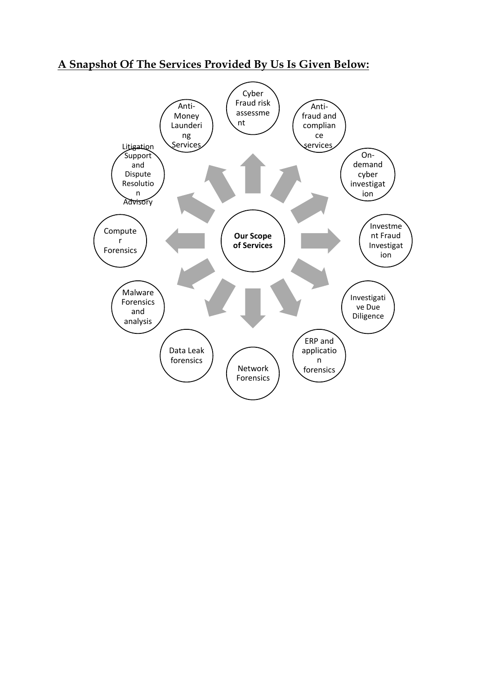## **A Snapshot Of The Services Provided By Us Is Given Below:**

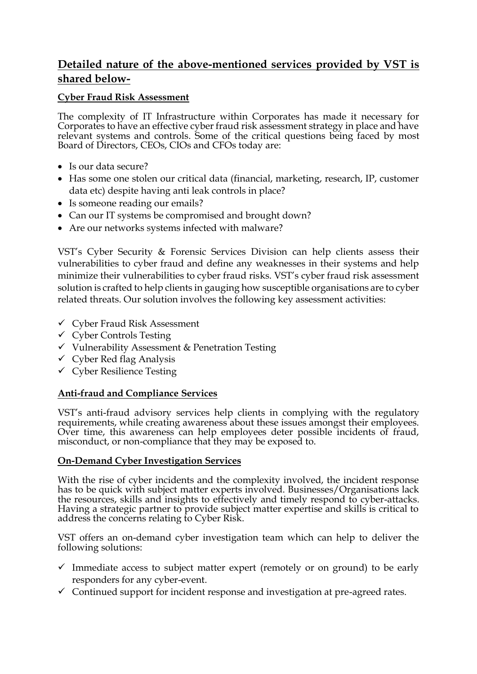## **Detailed nature of the above-mentioned services provided by VST is shared below-**

#### **Cyber Fraud Risk Assessment**

The complexity of IT Infrastructure within Corporates has made it necessary for Corporates to have an effective cyber fraud risk assessment strategy in place and have relevant systems and controls. Some of the critical questions being faced by most Board of Directors, CEOs, CIOs and CFOs today are:

- Is our data secure?
- Has some one stolen our critical data (financial, marketing, research, IP, customer data etc) despite having anti leak controls in place?
- Is someone reading our emails?
- Can our IT systems be compromised and brought down?
- Are our networks systems infected with malware?

VST's Cyber Security & Forensic Services Division can help clients assess their vulnerabilities to cyber fraud and define any weaknesses in their systems and help minimize their vulnerabilities to cyber fraud risks. VST's cyber fraud risk assessment solution is crafted to help clients in gauging how susceptible organisations are to cyber related threats. Our solution involves the following key assessment activities:

- ✓ Cyber Fraud Risk Assessment
- $\checkmark$  Cyber Controls Testing
- $\checkmark$  Vulnerability Assessment & Penetration Testing
- $\checkmark$  Cyber Red flag Analysis
- ✓ Cyber Resilience Testing

#### **Anti-fraud and Compliance Services**

VST's anti-fraud advisory services help clients in complying with the regulatory requirements, while creating awareness about these issues amongst their employees. Over time, this awareness can help employees deter possible incidents of fraud, misconduct, or non-compliance that they may be exposed to.

#### **On-Demand Cyber Investigation Services**

With the rise of cyber incidents and the complexity involved, the incident response has to be quick with subject matter experts involved. Businesses/Organisations lack the resources, skills and insights to effectively and timely respond to cyber-attacks. Having a strategic partner to provide subject matter expertise and skills is critical to address the concerns relating to Cyber Risk.

VST offers an on-demand cyber investigation team which can help to deliver the following solutions:

- $\checkmark$  Immediate access to subject matter expert (remotely or on ground) to be early responders for any cyber-event.
- $\checkmark$  Continued support for incident response and investigation at pre-agreed rates.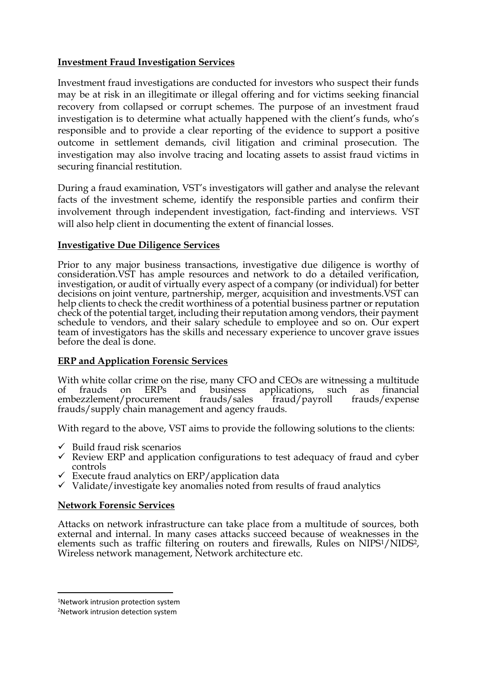#### **Investment Fraud Investigation Services**

Investment fraud investigations are conducted for investors who suspect their funds may be at risk in an illegitimate or illegal offering and for victims seeking financial recovery from collapsed or corrupt schemes. The purpose of an investment fraud investigation is to determine what actually happened with the client's funds, who's responsible and to provide a clear reporting of the evidence to support a positive outcome in settlement demands, civil litigation and criminal prosecution. The investigation may also involve tracing and locating assets to assist fraud victims in securing financial restitution.

During a fraud examination, VST's investigators will gather and analyse the relevant facts of the investment scheme, identify the responsible parties and confirm their involvement through independent investigation, fact-finding and interviews. VST will also help client in documenting the extent of financial losses.

#### **Investigative Due Diligence Services**

Prior to any major business transactions, investigative due diligence is worthy of consideration.VST has ample resources and network to do a detailed verification, investigation, or audit of virtually every aspect of a company (or individual) for better decisions on joint venture, partnership, merger, acquisition and investments.VST can help clients to check the credit worthiness of a potential business partner or reputation check of the potential target, including their reputation among vendors, their payment schedule to vendors, and their salary schedule to employee and so on. Our expert team of investigators has the skills and necessary experience to uncover grave issues before the deal is done.

#### **ERP and Application Forensic Services**

With white collar crime on the rise, many CFO and CEOs are witnessing a multitude of frauds on ERPs and business applications, such as financial embezzlement/procurement frauds/sales fraud/payroll frauds/expense  $\text{fraud}/\text{payroll}$  frauds/expense frauds/supply chain management and agency frauds.

With regard to the above, VST aims to provide the following solutions to the clients:

- $\checkmark$  Build fraud risk scenarios
- $\checkmark$  Review ERP and application configurations to test adequacy of fraud and cyber controls
- $\checkmark$  Execute fraud analytics on ERP/application data
- $\checkmark$  Validate/investigate key anomalies noted from results of fraud analytics

#### **Network Forensic Services**

Attacks on network infrastructure can take place from a multitude of sources, both external and internal. In many cases attacks succeed because of weaknesses in the elements such as traffic filtering on routers and firewalls, Rules on NIPS1/NIDS2, Wireless network management, Network architecture etc.

<sup>1</sup>Network intrusion protection system

<sup>2</sup>Network intrusion detection system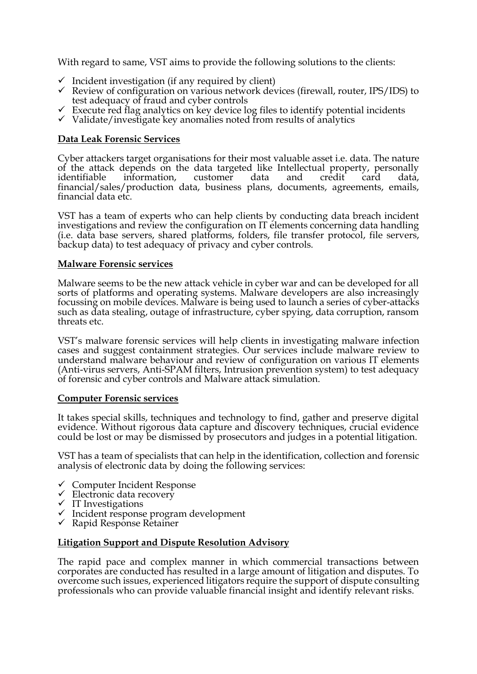With regard to same, VST aims to provide the following solutions to the clients:

- $\checkmark$  Incident investigation (if any required by client)
- $\checkmark$  Review of configuration on various network devices (firewall, router, IPS/IDS) to test adequacy of fraud and cyber controls
- $\checkmark$  Execute red flag analytics on key device log files to identify potential incidents
- ✓ Validate/investigate key anomalies noted from results of analytics

#### **Data Leak Forensic Services**

Cyber attackers target organisations for their most valuable asset i.e. data. The nature of the attack depends on the data targeted like Intellectual property, personally identifiable information, customer data and credit card data, financial/sales/production data, business plans, documents, agreements, emails, financial data etc.

VST has a team of experts who can help clients by conducting data breach incident investigations and review the configuration on IT elements concerning data handling (i.e. data base servers, shared platforms, folders, file transfer protocol, file servers, backup data) to test adequacy of privacy and cyber controls.

#### **Malware Forensic services**

Malware seems to be the new attack vehicle in cyber war and can be developed for all sorts of platforms and operating systems. Malware developers are also increasingly focussing on mobile devices. Malware is being used to launch a series of cyber-attacks such as data stealing, outage of infrastructure, cyber spying, data corruption, ransom threats etc.

VST's malware forensic services will help clients in investigating malware infection cases and suggest containment strategies. Our services include malware review to understand malware behaviour and review of configuration on various IT elements (Anti-virus servers, Anti-SPAM filters, Intrusion prevention system) to test adequacy of forensic and cyber controls and Malware attack simulation.

#### **Computer Forensic services**

It takes special skills, techniques and technology to find, gather and preserve digital evidence. Without rigorous data capture and discovery techniques, crucial evidence could be lost or may be dismissed by prosecutors and judges in a potential litigation.

VST has a team of specialists that can help in the identification, collection and forensic analysis of electronic data by doing the following services:

- ✓ Computer Incident Response
- $\checkmark$  Electronic data recovery
- ✓ IT Investigations
- $\checkmark$  Incident response program development
- ✓ Rapid Response Retainer

#### **Litigation Support and Dispute Resolution Advisory**

The rapid pace and complex manner in which commercial transactions between corporates are conducted has resulted in a large amount of litigation and disputes. To overcome such issues, experienced litigators require the support of dispute consulting professionals who can provide valuable financial insight and identify relevant risks.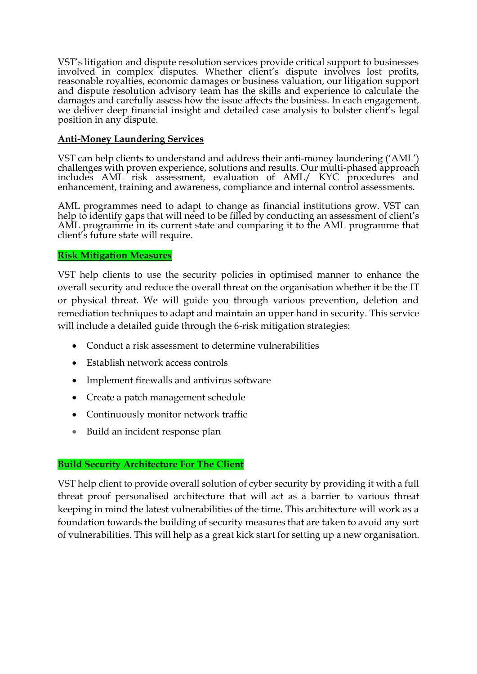VST's litigation and dispute resolution services provide critical support to businesses involved in complex disputes. Whether client's dispute involves lost profits, reasonable royalties, economic damages or business valuation, our litigation support and dispute resolution advisory team has the skills and experience to calculate the damages and carefully assess how the issue affects the business. In each engagement, we deliver deep financial insight and detailed case analysis to bolster client's legal position in any dispute.

#### **Anti-Money Laundering Services**

VST can help clients to understand and address their anti-money laundering ('AML') challenges with proven experience, solutions and results. Our multi-phased approach includes AML risk assessment, evaluation of AML/ KYC procedures and enhancement, training and awareness, compliance and internal control assessments.

AML programmes need to adapt to change as financial institutions grow. VST can help to identify gaps that will need to be filled by conducting an assessment of client's AML programme in its current state and comparing it to the AML programme that client's future state will require.

#### **Risk Mitigation Measures**

VST help clients to use the security policies in optimised manner to enhance the overall security and reduce the overall threat on the organisation whether it be the IT or physical threat. We will guide you through various prevention, deletion and remediation techniques to adapt and maintain an upper hand in security. This service will include a detailed guide through the 6-risk mitigation strategies:

- Conduct a risk assessment to determine vulnerabilities
- Establish network access controls
- Implement firewalls and antivirus software
- Create a patch management schedule
- Continuously monitor network traffic
- Build an incident response plan

#### **Build Security Architecture For The Client**

VST help client to provide overall solution of cyber security by providing it with a full threat proof personalised architecture that will act as a barrier to various threat keeping in mind the latest vulnerabilities of the time. This architecture will work as a foundation towards the building of security measures that are taken to avoid any sort of vulnerabilities. This will help as a great kick start for setting up a new organisation.